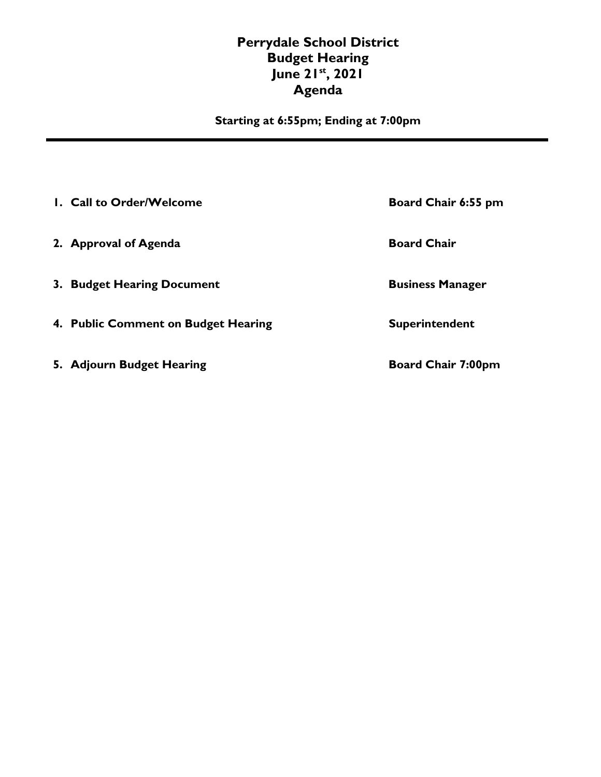## **Perrydale School District Budget Hearing June 21st , 2021 Agenda**

**Starting at 6:55pm; Ending at 7:00pm** 

| 1. Call to Order/Welcome            | Board Chair 6:55 pm       |
|-------------------------------------|---------------------------|
| 2. Approval of Agenda               | <b>Board Chair</b>        |
| 3. Budget Hearing Document          | <b>Business Manager</b>   |
| 4. Public Comment on Budget Hearing | Superintendent            |
| 5. Adjourn Budget Hearing           | <b>Board Chair 7:00pm</b> |